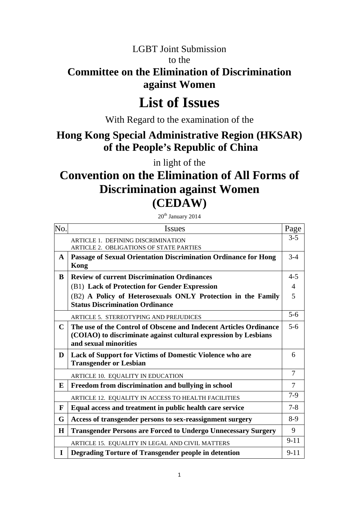# LGBT Joint Submission to the **Committee on the Elimination of Discrimination against Women**

# **List of Issues**

With Regard to the examination of the

# **Hong Kong Special Administrative Region (HKSAR) of the People's Republic of China**

in light of the

# **Convention on the Elimination of All Forms of Discrimination against Women (CEDAW)**

 $20<sup>th</sup>$  January 2014

| No.          | <b>Issues</b>                                                                                                                                                 | Page           |
|--------------|---------------------------------------------------------------------------------------------------------------------------------------------------------------|----------------|
|              | <b>ARTICLE 1. DEFINING DISCRIMINATION</b><br>ARTICLE 2. OBLIGATIONS OF STATE PARTIES                                                                          | $3 - 5$        |
| $\mathbf{A}$ | Passage of Sexual Orientation Discrimination Ordinance for Hong<br><b>Kong</b>                                                                                | $3-4$          |
| B            | <b>Review of current Discrimination Ordinances</b>                                                                                                            | $4 - 5$        |
|              | (B1) Lack of Protection for Gender Expression                                                                                                                 | $\overline{4}$ |
|              | (B2) A Policy of Heterosexuals ONLY Protection in the Family<br><b>Status Discrimination Ordinance</b>                                                        | 5              |
|              | <b>ARTICLE 5. STEREOTYPING AND PREJUDICES</b>                                                                                                                 | $5 - 6$        |
| $\mathbf C$  | The use of the Control of Obscene and Indecent Articles Ordinance<br>(COIAO) to discriminate against cultural expression by Lesbians<br>and sexual minorities | $5 - 6$        |
| D            | <b>Lack of Support for Victims of Domestic Violence who are</b><br><b>Transgender or Lesbian</b>                                                              | 6              |
|              | ARTICLE 10. EQUALITY IN EDUCATION                                                                                                                             | $\overline{7}$ |
| E            | Freedom from discrimination and bullying in school                                                                                                            | $\overline{7}$ |
|              | ARTICLE 12. EQUALITY IN ACCESS TO HEALTH FACILITIES                                                                                                           | $7-9$          |
| F            | Equal access and treatment in public health care service                                                                                                      | $7 - 8$        |
| G            | Access of transgender persons to sex-reassignment surgery                                                                                                     | $8-9$          |
| H            | <b>Transgender Persons are Forced to Undergo Unnecessary Surgery</b>                                                                                          | 9              |
|              | ARTICLE 15. EQUALITY IN LEGAL AND CIVIL MATTERS                                                                                                               | $9 - 11$       |
| I            | Degrading Torture of Transgender people in detention                                                                                                          | $9 - 11$       |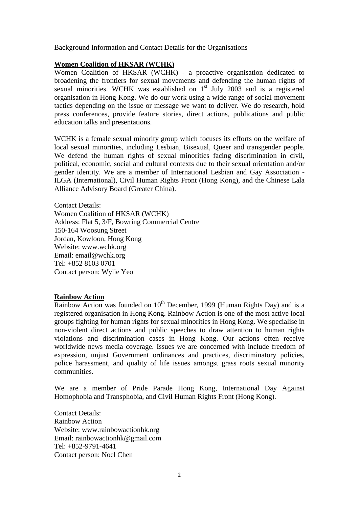#### Background Information and Contact Details for the Organisations

#### **Women Coalition of HKSAR (WCHK)**

Women Coalition of HKSAR (WCHK) - a proactive organisation dedicated to broadening the frontiers for sexual movements and defending the human rights of sexual minorities. WCHK was established on  $1<sup>st</sup>$  July 2003 and is a registered organisation in Hong Kong. We do our work using a wide range of social movement tactics depending on the issue or message we want to deliver. We do research, hold press conferences, provide feature stories, direct actions, publications and public education talks and presentations.

WCHK is a female sexual minority group which focuses its efforts on the welfare of local sexual minorities, including Lesbian, Bisexual, Queer and transgender people. We defend the human rights of sexual minorities facing discrimination in civil, political, economic, social and cultural contexts due to their sexual orientation and/or gender identity. We are a member of International Lesbian and Gay Association - ILGA (International), Civil Human Rights Front (Hong Kong), and the Chinese Lala Alliance Advisory Board (Greater China).

Contact Details: Women Coalition of HKSAR (WCHK) Address: Flat 5, 3/F, Bowring Commercial Centre 150-164 Woosung Street Jordan, Kowloon, Hong Kong Website: www.wchk.org Email: email@wchk.org Tel: +852 8103 0701 Contact person: Wylie Yeo

#### **Rainbow Action**

Rainbow Action was founded on  $10^{th}$  December, 1999 (Human Rights Day) and is a registered organisation in Hong Kong. Rainbow Action is one of the most active local groups fighting for human rights for sexual minorities in Hong Kong. We specialise in non-violent direct actions and public speeches to draw attention to human rights violations and discrimination cases in Hong Kong. Our actions often receive worldwide news media coverage. Issues we are concerned with include freedom of expression, unjust Government ordinances and practices, discriminatory policies, police harassment, and quality of life issues amongst grass roots sexual minority communities.

We are a member of Pride Parade Hong Kong, International Day Against Homophobia and Transphobia, and Civil Human Rights Front (Hong Kong).

Contact Details: Rainbow Action Website: www.rainbowactionhk.org Email: rainbowactionhk@gmail.com Tel: +852-9791-4641 Contact person: Noel Chen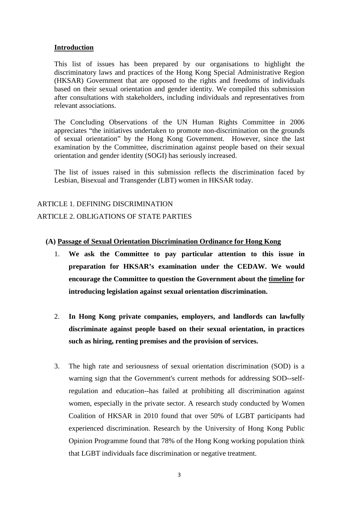#### **Introduction**

This list of issues has been prepared by our organisations to highlight the discriminatory laws and practices of the Hong Kong Special Administrative Region (HKSAR) Government that are opposed to the rights and freedoms of individuals based on their sexual orientation and gender identity. We compiled this submission after consultations with stakeholders, including individuals and representatives from relevant associations.

The Concluding Observations of the UN Human Rights Committee in 2006 appreciates "the initiatives undertaken to promote non-discrimination on the grounds of sexual orientation" by the Hong Kong Government. However, since the last examination by the Committee, discrimination against people based on their sexual orientation and gender identity (SOGI) has seriously increased.

The list of issues raised in this submission reflects the discrimination faced by Lesbian, Bisexual and Transgender (LBT) women in HKSAR today.

## ARTICLE 1. DEFINING DISCRIMINATION ARTICLE 2. OBLIGATIONS OF STATE PARTIES

#### **(A) Passage of Sexual Orientation Discrimination Ordinance for Hong Kong**

- 1. **We ask the Committee to pay particular attention to this issue in preparation for HKSAR's examination under the CEDAW. We would encourage the Committee to question the Government about the timeline for introducing legislation against sexual orientation discrimination.**
- 2. **In Hong Kong private companies, employers, and landlords can lawfully discriminate against people based on their sexual orientation, in practices such as hiring, renting premises and the provision of services.**
- 3. The high rate and seriousness of sexual orientation discrimination (SOD) is a warning sign that the Government's current methods for addressing SOD--selfregulation and education--has failed at prohibiting all discrimination against women, especially in the private sector. A research study conducted by Women Coalition of HKSAR in 2010 found that over 50% of LGBT participants had experienced discrimination. Research by the University of Hong Kong Public Opinion Programme found that 78% of the Hong Kong working population think that LGBT individuals face discrimination or negative treatment.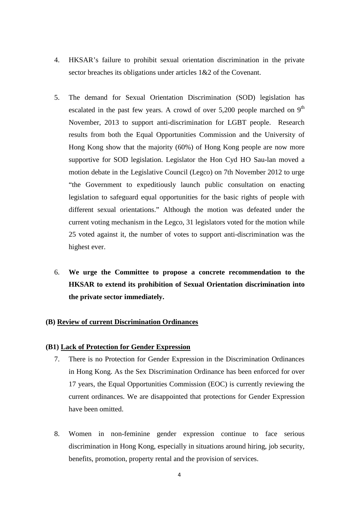- 4. HKSAR's failure to prohibit sexual orientation discrimination in the private sector breaches its obligations under articles 1&2 of the Covenant.
- 5. The demand for Sexual Orientation Discrimination (SOD) legislation has escalated in the past few years. A crowd of over  $5,200$  people marched on 9<sup>th</sup> November, 2013 to support anti-discrimination for LGBT people. Research results from both the Equal Opportunities Commission and the University of Hong Kong show that the majority (60%) of Hong Kong people are now more supportive for SOD legislation. Legislator the Hon Cyd HO Sau-lan moved a motion debate in the Legislative Council (Legco) on 7th November 2012 to urge "the Government to expeditiously launch public consultation on enacting legislation to safeguard equal opportunities for the basic rights of people with different sexual orientations." Although the motion was defeated under the current voting mechanism in the Legco, 31 legislators voted for the motion while 25 voted against it, the number of votes to support anti-discrimination was the highest ever.
- 6. **We urge the Committee to propose a concrete recommendation to the HKSAR to extend its prohibition of Sexual Orientation discrimination into the private sector immediately.**

#### **(B) Review of current Discrimination Ordinances**

#### **(B1) Lack of Protection for Gender Expression**

- 7. There is no Protection for Gender Expression in the Discrimination Ordinances in Hong Kong. As the Sex Discrimination Ordinance has been enforced for over 17 years, the Equal Opportunities Commission (EOC) is currently reviewing the current ordinances. We are disappointed that protections for Gender Expression have been omitted.
- 8. Women in non-feminine gender expression continue to face serious discrimination in Hong Kong, especially in situations around hiring, job security, benefits, promotion, property rental and the provision of services.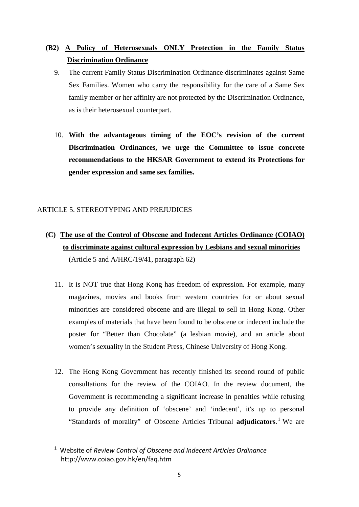### **(B2) A Policy of Heterosexuals ONLY Protection in the Family Status Discrimination Ordinance**

- 9. The current Family Status Discrimination Ordinance discriminates against Same Sex Families. Women who carry the responsibility for the care of a Same Sex family member or her affinity are not protected by the Discrimination Ordinance, as is their heterosexual counterpart.
- 10. **With the advantageous timing of the EOC's revision of the current Discrimination Ordinances, we urge the Committee to issue concrete recommendations to the HKSAR Government to extend its Protections for gender expression and same sex families.**

#### ARTICLE 5. STEREOTYPING AND PREJUDICES

- **(C) The use of the Control of Obscene and Indecent Articles Ordinance (COIAO) to discriminate against cultural expression by Lesbians and sexual minorities** (Article 5 and A/HRC/19/41, paragraph 62)
	- 11. It is NOT true that Hong Kong has freedom of expression. For example, many magazines, movies and books from western countries for or about sexual minorities are considered obscene and are illegal to sell in Hong Kong. Other examples of materials that have been found to be obscene or indecent include the poster for "Better than Chocolate" (a lesbian movie), and an article about women's sexuality in the Student Press, Chinese University of Hong Kong.
	- 12. The Hong Kong Government has recently finished its second round of public consultations for the review of the COIAO. In the review document, the Government is recommending a significant increase in penalties while refusing to provide any definition of 'obscene' and 'indecent', it's up to personal "Standards of morality" of Obscene Articles Tribunal **adjudicators**. [1](#page-4-0) We are

<span id="page-4-0"></span> <sup>1</sup> Website of *Review Control of Obscene and Indecent Articles Ordinance* http://www.coiao.gov.hk/en/faq.htm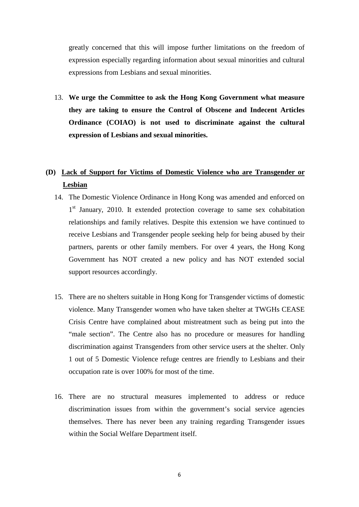greatly concerned that this will impose further limitations on the freedom of expression especially regarding information about sexual minorities and cultural expressions from Lesbians and sexual minorities.

13. **We urge the Committee to ask the Hong Kong Government what measure they are taking to ensure the Control of Obscene and Indecent Articles Ordinance (COIAO) is not used to discriminate against the cultural expression of Lesbians and sexual minorities.**

### **(D) Lack of Support for Victims of Domestic Violence who are Transgender or Lesbian**

- 14. The Domestic Violence Ordinance in Hong Kong was amended and enforced on 1<sup>st</sup> January, 2010. It extended protection coverage to same sex cohabitation relationships and family relatives. Despite this extension we have continued to receive Lesbians and Transgender people seeking help for being abused by their partners, parents or other family members. For over 4 years, the Hong Kong Government has NOT created a new policy and has NOT extended social support resources accordingly.
- 15. There are no shelters suitable in Hong Kong for Transgender victims of domestic violence. Many Transgender women who have taken shelter at TWGHs CEASE Crisis Centre have complained about mistreatment such as being put into the "male section". The Centre also has no procedure or measures for handling discrimination against Transgenders from other service users at the shelter. Only 1 out of 5 Domestic Violence refuge centres are friendly to Lesbians and their occupation rate is over 100% for most of the time.
- 16. There are no structural measures implemented to address or reduce discrimination issues from within the government's social service agencies themselves. There has never been any training regarding Transgender issues within the Social Welfare Department itself.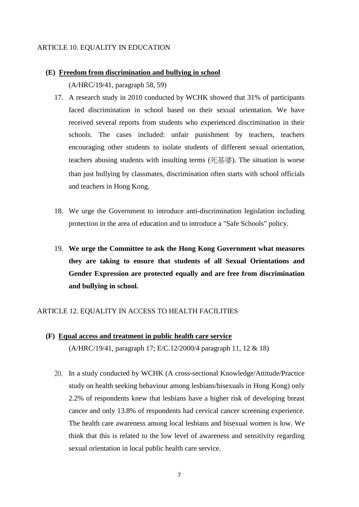#### ARTICLE 10. EQUALITY IN EDUCATION

# **(E) Freedom from discrimination and bullying in school**

(A/HRC/19/41, paragraph 58, 59)

- 17. A research study in 2010 conducted by WCHK showed that 31% of participants faced discrimination in school based on their sexual orientation. We have received several reports from students who experienced discrimination in their schools. The cases included: unfair punishment by teachers, teachers encouraging other students to isolate students of different sexual orientation, teachers abusing students with insulting terms (死基婆). The situation is worse than just bullying by classmates, discrimination often starts with school officials and teachers in Hong Kong.
- 18. We urge the Government to introduce anti-discrimination legislation including protection in the area of education and to introduce a "Safe Schools" policy.
- 19. **We urge the Committee to ask the Hong Kong Government what measures they are taking to ensure that students of all Sexual Orientations and Gender Expression are protected equally and are free from discrimination and bullying in school.**

#### ARTICLE 12. EQUALITY IN ACCESS TO HEALTH FACILITIES

- **(F) Equal access and treatment in public health care service** (A/HRC/19/41, paragraph 17; E/C.12/2000/4 paragraph 11, 12 & 18)
	- 20. In a study conducted by WCHK (A cross-sectional Knowledge/Attitude/Practice study on health seeking behaviour among lesbians/bisexuals in Hong Kong) only 2.2% of respondents knew that lesbians have a higher risk of developing breast cancer and only 13.8% of respondents had cervical cancer screening experience. The health care awareness among local lesbians and bisexual women is low. We think that this is related to the low level of awareness and sensitivity regarding sexual orientation in local public health care service.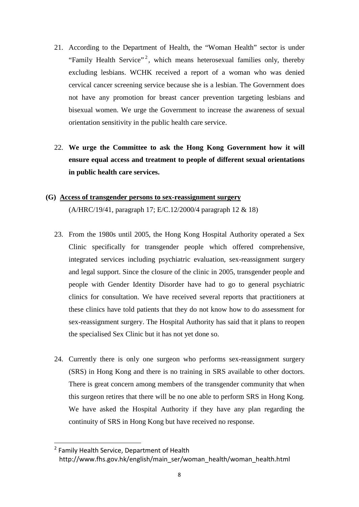- 21. According to the Department of Health, the "Woman Health" sector is under "Family Health Service"<sup>[2](#page-7-0)</sup>, which means heterosexual families only, thereby excluding lesbians. WCHK received a report of a woman who was denied cervical cancer screening service because she is a lesbian. The Government does not have any promotion for breast cancer prevention targeting lesbians and bisexual women. We urge the Government to increase the awareness of sexual orientation sensitivity in the public health care service.
- 22. **We urge the Committee to ask the Hong Kong Government how it will ensure equal access and treatment to people of different sexual orientations in public health care services.**

## **(G) Access of transgender persons to sex-reassignment surgery** (A/HRC/19/41, paragraph 17; E/C.12/2000/4 paragraph 12 & 18)

- 23. From the 1980s until 2005, the Hong Kong Hospital Authority operated a Sex Clinic specifically for transgender people which offered comprehensive, integrated services including psychiatric evaluation, sex-reassignment surgery and legal support. Since the closure of the clinic in 2005, transgender people and people with Gender Identity Disorder have had to go to general psychiatric clinics for consultation. We have received several reports that practitioners at these clinics have told patients that they do not know how to do assessment for sex-reassignment surgery. The Hospital Authority has said that it plans to reopen the specialised Sex Clinic but it has not yet done so.
- 24. Currently there is only one surgeon who performs sex-reassignment surgery (SRS) in Hong Kong and there is no training in SRS available to other doctors. There is great concern among members of the transgender community that when this surgeon retires that there will be no one able to perform SRS in Hong Kong. We have asked the Hospital Authority if they have any plan regarding the continuity of SRS in Hong Kong but have received no response.

<span id="page-7-0"></span><sup>&</sup>lt;sup>2</sup> Family Health Service, Department of Health http://www.fhs.gov.hk/english/main\_ser/woman\_health/woman\_health.html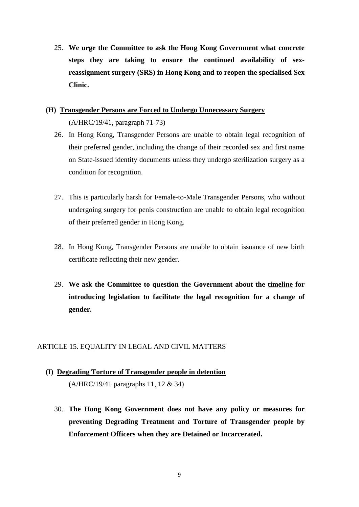25. **We urge the Committee to ask the Hong Kong Government what concrete steps they are taking to ensure the continued availability of sexreassignment surgery (SRS) in Hong Kong and to reopen the specialised Sex Clinic.**

### **(H) Transgender Persons are Forced to Undergo Unnecessary Surgery** (A/HRC/19/41, paragraph 71-73)

- 26. In Hong Kong, Transgender Persons are unable to obtain legal recognition of their preferred gender, including the change of their recorded sex and first name on State-issued identity documents unless they undergo sterilization surgery as a condition for recognition.
- 27. This is particularly harsh for Female-to-Male Transgender Persons, who without undergoing surgery for penis construction are unable to obtain legal recognition of their preferred gender in Hong Kong.
- 28. In Hong Kong, Transgender Persons are unable to obtain issuance of new birth certificate reflecting their new gender.
- 29. **We ask the Committee to question the Government about the timeline for introducing legislation to facilitate the legal recognition for a change of gender.**

#### ARTICLE 15. EQUALITY IN LEGAL AND CIVIL MATTERS

- **(I) Degrading Torture of Transgender people in detention** (A/HRC/19/41 paragraphs 11, 12 & 34)
	- 30. **The Hong Kong Government does not have any policy or measures for preventing Degrading Treatment and Torture of Transgender people by Enforcement Officers when they are Detained or Incarcerated.**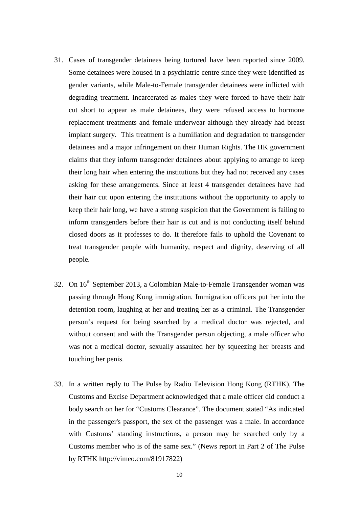- 31. Cases of transgender detainees being tortured have been reported since 2009. Some detainees were housed in a psychiatric centre since they were identified as gender variants, while Male-to-Female transgender detainees were inflicted with degrading treatment. Incarcerated as males they were forced to have their hair cut short to appear as male detainees, they were refused access to hormone replacement treatments and female underwear although they already had breast implant surgery. This treatment is a humiliation and degradation to transgender detainees and a major infringement on their Human Rights. The HK government claims that they inform transgender detainees about applying to arrange to keep their long hair when entering the institutions but they had not received any cases asking for these arrangements. Since at least 4 transgender detainees have had their hair cut upon entering the institutions without the opportunity to apply to keep their hair long, we have a strong suspicion that the Government is failing to inform transgenders before their hair is cut and is not conducting itself behind closed doors as it professes to do. It therefore fails to uphold the Covenant to treat transgender people with humanity, respect and dignity, deserving of all people.
- 32. On 16<sup>th</sup> September 2013, a Colombian Male-to-Female Transgender woman was passing through Hong Kong immigration. Immigration officers put her into the detention room, laughing at her and treating her as a criminal. The Transgender person's request for being searched by a medical doctor was rejected, and without consent and with the Transgender person objecting, a male officer who was not a medical doctor, sexually assaulted her by squeezing her breasts and touching her penis.
- 33. In a written reply to The Pulse by Radio Television Hong Kong (RTHK), The Customs and Excise Department acknowledged that a male officer did conduct a body search on her for "Customs Clearance". The document stated "As indicated in the passenger's passport, the sex of the passenger was a male. In accordance with Customs' standing instructions, a person may be searched only by a Customs member who is of the same sex." (News report in Part 2 of The Pulse by RTHK http://vimeo.com/81917822)